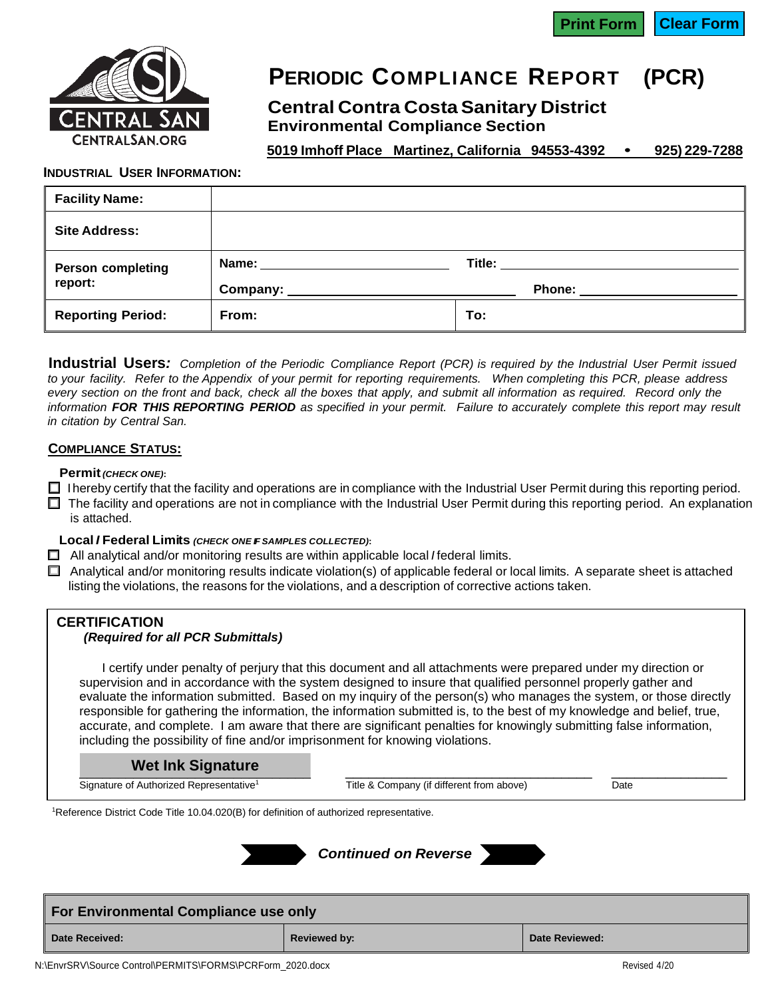

# **PERIODIC COMPLIANCE REPORT (PCR)**

**Central Contra Costa Sanitary District Environmental Compliance Section**

**5019 Imhoff Place Martinez, California 94553-4392 • 925) 229-7288**

#### **INDUSTRIAL USER INFORMATION:**

| <b>Facility Name:</b>    |                                                                                   |     |                                                                                                                                                                                                                                     |
|--------------------------|-----------------------------------------------------------------------------------|-----|-------------------------------------------------------------------------------------------------------------------------------------------------------------------------------------------------------------------------------------|
| <b>Site Address:</b>     |                                                                                   |     |                                                                                                                                                                                                                                     |
| <b>Person completing</b> | Name: ________________________                                                    |     | <b>Title:</b> The contract of the contract of the contract of the contract of the contract of the contract of the contract of the contract of the contract of the contract of the contract of the contract of the contract of the c |
| report:                  | Company: 2000 2000 2010 2020 2030 2040 2050 2060 2071 2080 2091 2002 2012 2021 20 |     | <b>Phone:</b>                                                                                                                                                                                                                       |
| <b>Reporting Period:</b> | From:                                                                             | To: |                                                                                                                                                                                                                                     |

Industrial Users: Completion of the Periodic Compliance Report (PCR) is required by the Industrial User Permit issued to your facility. Refer to the Appendix of your permit for reporting requirements. When completing this PCR, please address every section on the front and back, check all the boxes that apply, and submit all information as required. Record only the information FOR THIS REPORTING PERIOD as specified in your permit. Failure to accurately complete this report may result *in citation by Central San.*

### **COMPLIANCE STATUS:**

#### **Permit***(CHECK ONE)***:**

- $\Box$  I hereby certify that the facility and operations are in compliance with the Industrial User Permit during this reporting period.
- $\Box$  The facility and operations are not in compliance with the Industrial User Permit during this reporting period. An explanation is attached.

### **Local** *I* **Federal Limits** *(CHECK ONE IF SAMPLES COLLECTED)***:**

- All analytical and/or monitoring results are within applicable local *I* federal limits.
- $\Box$  Analytical and/or monitoring results indicate violation(s) of applicable federal or local limits. A separate sheet is attached listing the violations, the reasons for the violations, and a description of corrective actions taken.

# **CERTIFICATION**

## *(Required for all PCR Submittals)*

I certify under penalty of perjury that this document and all attachments were prepared under my direction or supervision and in accordance with the system designed to insure that qualified personnel properly gather and evaluate the information submitted. Based on my inquiry of the person(s) who manages the system, or those directly responsible for gathering the information, the information submitted is, to the best of my knowledge and belief, true, accurate, and complete. I am aware that there are significant penalties for knowingly submitting false information, including the possibility of fine and/or imprisonment for knowing violations.

#### $\blacksquare$  wet link orginature **Wet Ink Signature**

Signature of Authorized Representative<sup>1</sup>

Title & Company (if different from above) Date

<sup>1</sup>Reference District Code Title 10.04.020(B) for definition of authorized representative.







| <b>For Environmental Compliance use only</b> |              |                |  |  |  |
|----------------------------------------------|--------------|----------------|--|--|--|
| <b>Date Received:</b>                        | Reviewed by: | Date Reviewed: |  |  |  |